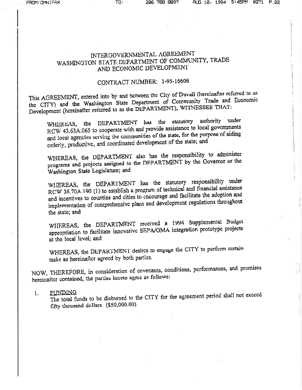# INTERGOVERNMENTAL AGREEMENT WASHINGTON STATE DEPARTMENT OF COMMUNITY, TRADE AND ECONOMIC DEVELOPMENT

## CONTRACT NUMBER: 1-95-16606

This AGREEMENT, entered into by and between the City of Duvall (hereinafter referred to as the CITY) and the Washington State Department of Community Trade and Economic Development (hereinafter referred to as the DEPARTMENT), WITNESSES THAT:

WHEREAS, the DEPARTMENT has the statutory authority under RCW 43.63A.065 to cooperate with and provide assistance to local governments and local agencies serving the communities of the state, for the purpose of aiding orderly, productive, and coordinated development of the state; and

WHEREAS, the DEPARTMENT also has the responsibility to administer programs and projects assigned to the DEPARTMENT by the Governor or the Washington State Legislature; and

WHEREAS, the DEPARTMENT has the statutory responsibility under RCW 36.70A.190 (1) to establish a program of technical and financial assistance and incentives to counties and cities to encourage and facilitate the adoption and implementation of comprehensive plans and development regulations throughout the state; and

WHEREAS, the DEPARTMENT received a 1994 Supplemental Budget appropriation to facilitate innovative SEPA/GMA integration prototype projects at the local level; and

WHEREAS, the DEPARTMENT desires to engage the CITY to perform certain tasks as hereinafter agreed by both parties.

NOW, THEREFORE, in consideration of covenants, conditions, performances, and promises hereinafter contained, the parties hereto agree as follows:

FUNDING  $\mathbf{1}$ .

The total funds to be disbursed to the CITY for the agreement period shall not exceed fifty thousand dollars (\$50,000.00).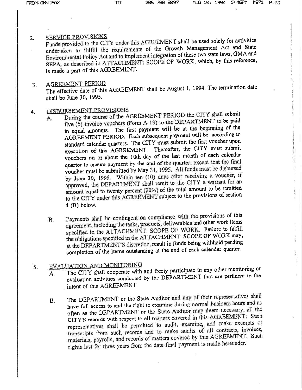1

4

#### SERVICE PROVISIONS  $2.$

Funds provided to the CITY under this AGREEMENT shall be used solely for activities undertaken to fulfill the requirements of the Growth Management Act and State Environmental Policy Act and to implement integration of these two state laws, GMA and SEPA, as described in ATTACHMENT: SCOPE OF WORK, which, by this reference, is made a part of this AGREEMENT.

### AGREEMENT PERIOD  $3.$

The effective date of this AGREEMENT shall be August 1, 1994. The termination date shall be June 30, 1995.

## DISBURSEMENT PROVISIONS 4.

- During the course of the AGREEMENT PERIOD the CITY shall submit А. five (5) invoice vouchers (Form A-19) to the DEPARTMENT to be paid in equal amounts. The first payment will be at the beginning of the AGREEMENT PERIOD. Each subsequent payment will be according to standard calendar quarters. The CITY must submit the first voucher upon execution of this AGREEMENT. Thereafter, the CITY must submit vouchers on or about the 10th day of the last month of each calendar quarter to cnsure payment by the end of the quarter; except that the final voucher must be submitted by May 31, 1995. All funds must be disbursed by June 30, 1995. Within ten (10) days after receiving a voucher, if approved, the DEPARTMENT shall remit to the CITY a warrant for an amount equal to twenty percent (20%) of the total amount to be remitted to the CITY under this AGREEMENT subject to the provisions of section 4 (B) below.
- Payments shall be contingent on compliance with the provisions of this  $B<sub>1</sub>$ agreement, including the tasks, products, deliverables and other work items specified in the ATTACHMENT: SCOPE OF WORK. Failure to fulfill the obligations specified in the ATTACHMENT: SCOPE OF WORK may, at the DEPARTMENT'S discretion, result in funds being withheld pending completion of the items outstanding at the end of each calendar quarter.

## EVALUATION AND MONITORING 5.

- The CITY shall cooperate with and freely participate in any other monitoring or  $A<sub>1</sub>$ evaluation activities conducted by the DEPARTMENT that are pertinent to the intent of this AGREEMENT.
- The DEPARTMENT or the State Auditor and any of their representatives shall  $\mathbf{B}$ . have full access to and the right to examine during normal business hours and as often as the DEPARTMENT or the State Auditor may deem necessary, all the CITY'S records with respect to all matters covered in this AGREEMENT: Such representatives shall be permitted to audit, examine, and make excerpts or transcripts from such records and to make audits of all contracts, invoices, materials, payrolls, and records of matters covered by this AGREEMENT. Such rights last for three years from the date final payment is made hereunder.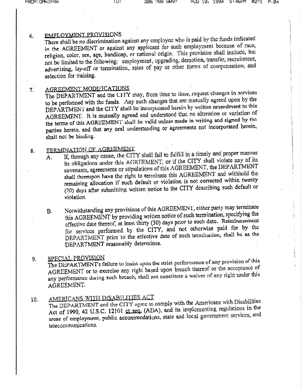#### EMPLOYMENT PROVISIONS 6.

There shall be no discrimination against any employee who is paid by the funds indicated in the AGREEMENT or against any applicant for such employment because of race, religion, color, sex, age, handicap, or national origin. This provision shall include, but not be limited to the following: employment, upgrading, demotion, transfer, recruitment, advertising, lay-off or termination, rates of pay or other forms of compensation, and selection for training.

#### AGREEMENT MODIFICATIONS  $7.$

The DEPARTMENT and the CITY may, from time to time, request changes in services to be performed with the funds. Any such changes that are mutually agreed upon by the DEPARTMENT and the CITY shall be incorporated herein by written amendment to this AGREEMENT. It is mutually agreed and understood that no alteration or variation of the terms of this AGREEMENT shall be valid unless made in writing and signed by the parties hereto, and that any oral understanding or agreements not incorporated herein, shall not be binding.

## TERMINATION OF AGREEMENT 8.

- If, through any cause, the CITY shall fail to fulfill in a timely and proper manner A. its obligations under this AGREEMENT, or if the CITY shall violate any of its covenants, agreements or stipulations of this AGREEMENT, the DEPARTMENT shall thereupon have the right to terminate this AGREEMENT and withhold the remaining allocation if such default or violation is not corrected within twenty (20) days after submitting written notice to the CITY describing such default or violation.
- Notwithstanding any provisions of this AGREEMENT, either party may terminate  $B<sub>1</sub>$ this AGREEMENT by providing written notice of such termination, specifying the effective date thereof, at least thirty (30) days prior to such date. Reimbursement for services performed by the CITY, and not otherwise paid for by the DEPARTMENT prior to the effective date of such termination, shall be as the DEPARTMENT reasonably determines.

### SPECIAL PROVISION 9.

The DEPARTMENT's failure to insist upon the strict performance of any provision of this AGREEMENT or to excreise any right based upon breach thereof or the acceptance of any performance during such breach, shall not constitute a waiver of any right under this AGREEMENT.

## AMERICANS WITH DISABILITIES ACT  $10<sub>1</sub>$

The DEPARTMENT and the CITY agree to comply with the Americans with Disabilities Act of 1990, 42 U.S.C. 12101 ct seq. (ADA), and its implementing regulations in the areas of employment, public accommodations, state and local government services, and telecommunications.